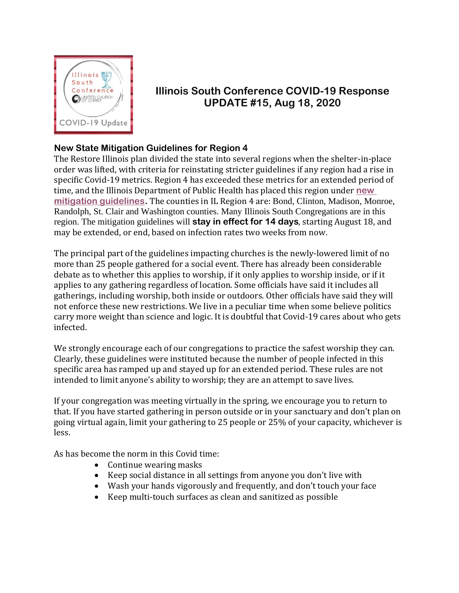

## **Illinois South Conference COVID-19 Response UPDATE #15, Aug 18, 2020**

## **New State Mitigation Guidelines for Region 4**

The Restore Illinois plan divided the state into several regions when the shelter-in-place order was lifted, with criteria for reinstating stricter guidelines if any region had a rise in specific Covid-19 metrics. Region 4 has exceeded these metrics for an extended period of time, and the Illinois Department of Public Health has placed this region under **[new](https://www.dph.illinois.gov/news/region-4-mitigation-measures) [mitigation guidelines.](https://www.dph.illinois.gov/news/region-4-mitigation-measures)** The counties in IL Region 4 are: Bond, Clinton, Madison, Monroe, Randolph, St. Clair and Washington counties. Many Illinois South Congregations are in this region. The mitigation guidelines will **stay in effect for 14 days**, starting August 18, and may be extended, or end, based on infection rates two weeks from now.

The principal part of the guidelines impacting churches is the newly-lowered limit of no more than 25 people gathered for a social event. There has already been considerable debate as to whether this applies to worship, if it only applies to worship inside, or if it applies to any gathering regardless of location. Some officials have said it includes all gatherings, including worship, both inside or outdoors. Other officials have said they will not enforce these new restrictions. We live in a peculiar time when some believe politics carry more weight than science and logic. It is doubtful that Covid-19 cares about who gets infected.

We strongly encourage each of our congregations to practice the safest worship they can. Clearly, these guidelines were instituted because the number of people infected in this specific area has ramped up and stayed up for an extended period. These rules are not intended to limit anyone's ability to worship; they are an attempt to save lives.

If your congregation was meeting virtually in the spring, we encourage you to return to that. If you have started gathering in person outside or in your sanctuary and don't plan on going virtual again, limit your gathering to 25 people or 25% of your capacity, whichever is less.

As has become the norm in this Covid time:

- Continue wearing masks
- Keep social distance in all settings from anyone you don't live with
- Wash your hands vigorously and frequently, and don't touch your face
- Keep multi-touch surfaces as clean and sanitized as possible